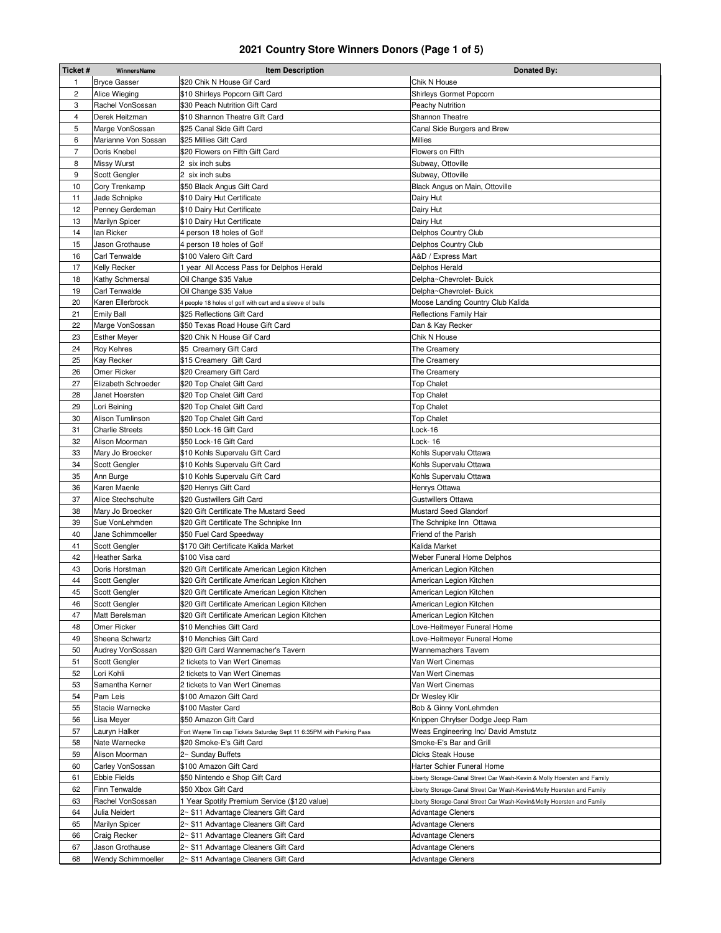## **2021 Country Store Winners Donors (Page 1 of 5)**

| Ticket#        | WinnersName                        | <b>Item Description</b>                                                              | Donated By:                                                                                       |
|----------------|------------------------------------|--------------------------------------------------------------------------------------|---------------------------------------------------------------------------------------------------|
| 1              | <b>Bryce Gasser</b>                | \$20 Chik N House Gif Card                                                           | Chik N House                                                                                      |
| 2              | Alice Wieging                      | \$10 Shirleys Popcorn Gift Card                                                      | Shirleys Gormet Popcorn                                                                           |
| 3              | Rachel VonSossan                   | \$30 Peach Nutrition Gift Card                                                       | <b>Peachy Nutrition</b>                                                                           |
| 4              | Derek Heitzman                     | \$10 Shannon Theatre Gift Card                                                       | Shannon Theatre                                                                                   |
| 5              | Marge VonSossan                    | \$25 Canal Side Gift Card                                                            | Canal Side Burgers and Brew                                                                       |
| 6              | Marianne Von Sossan                | \$25 Millies Gift Card                                                               | Millies                                                                                           |
| $\overline{7}$ | Doris Knebel                       | \$20 Flowers on Fifth Gift Card                                                      | Flowers on Fifth                                                                                  |
| 8              | <b>Missy Wurst</b>                 | 2 six inch subs                                                                      | Subway, Ottoville                                                                                 |
| 9              | Scott Gengler                      | 2 six inch subs                                                                      | Subway, Ottoville                                                                                 |
| 10             | Cory Trenkamp                      | \$50 Black Angus Gift Card                                                           | Black Angus on Main, Ottoville                                                                    |
| 11             | Jade Schnipke                      | \$10 Dairy Hut Certificate                                                           | Dairy Hut                                                                                         |
| 12             | Penney Gerdeman                    | \$10 Dairy Hut Certificate                                                           | Dairy Hut                                                                                         |
| 13             | Marilyn Spicer                     | \$10 Dairy Hut Certificate                                                           | Dairy Hut                                                                                         |
| 14             | lan Ricker                         | 4 person 18 holes of Golf                                                            | Delphos Country Club                                                                              |
| 15             | Jason Grothause                    | 4 person 18 holes of Golf                                                            | Delphos Country Club                                                                              |
| 16             | Carl Tenwalde                      | \$100 Valero Gift Card                                                               | A&D / Express Mart                                                                                |
| 17             | Kelly Recker                       | 1 year All Access Pass for Delphos Herald                                            | Delphos Herald                                                                                    |
| 18             | Kathy Schmersal                    | Oil Change \$35 Value                                                                | Delpha~Chevrolet- Buick                                                                           |
| 19             | Carl Tenwalde                      | Oil Change \$35 Value                                                                | Delpha~Chevrolet- Buick                                                                           |
| 20             | Karen Ellerbrock                   | 4 people 18 holes of golf with cart and a sleeve of balls                            | Moose Landing Country Club Kalida                                                                 |
| 21             | <b>Emily Ball</b>                  | \$25 Reflections Gift Card                                                           | <b>Reflections Family Hair</b>                                                                    |
| 22             | Marge VonSossan                    | \$50 Texas Road House Gift Card                                                      | Dan & Kay Recker                                                                                  |
| 23             | <b>Esther Meyer</b>                | \$20 Chik N House Gif Card                                                           | Chik N House                                                                                      |
| 24             | Roy Kehres                         | \$5 Creamery Gift Card                                                               | The Creamery                                                                                      |
| 25             | Kay Recker                         | \$15 Creamery Gift Card                                                              | The Creamery                                                                                      |
| 26             | Omer Ricker                        | \$20 Creamery Gift Card                                                              | The Creamery                                                                                      |
| 27             | Elizabeth Schroeder                | \$20 Top Chalet Gift Card                                                            | <b>Top Chalet</b>                                                                                 |
| 28             | Janet Hoersten                     | \$20 Top Chalet Gift Card                                                            | <b>Top Chalet</b>                                                                                 |
| 29             | Lori Beining                       | \$20 Top Chalet Gift Card                                                            | <b>Top Chalet</b>                                                                                 |
| 30             | Alison Tumlinson                   | \$20 Top Chalet Gift Card                                                            | <b>Top Chalet</b>                                                                                 |
| 31             | <b>Charlie Streets</b>             | \$50 Lock-16 Gift Card                                                               | Lock-16                                                                                           |
| 32             | Alison Moorman                     | \$50 Lock-16 Gift Card                                                               | Lock-16                                                                                           |
| 33             | Mary Jo Broecker                   | \$10 Kohls Supervalu Gift Card                                                       | Kohls Supervalu Ottawa                                                                            |
| 34             | Scott Gengler                      | \$10 Kohls Supervalu Gift Card                                                       | Kohls Supervalu Ottawa                                                                            |
| 35<br>36       | Ann Burge                          | \$10 Kohls Supervalu Gift Card                                                       | Kohls Supervalu Ottawa                                                                            |
| 37             | Karen Maenle<br>Alice Stechschulte | \$20 Henrys Gift Card<br>\$20 Gustwillers Gift Card                                  | Henrys Ottawa<br>Gustwillers Ottawa                                                               |
| 38             | Mary Jo Broecker                   | \$20 Gift Certificate The Mustard Seed                                               | <b>Mustard Seed Glandorf</b>                                                                      |
| 39             | Sue VonLehmden                     | \$20 Gift Certificate The Schnipke Inn                                               | The Schnipke Inn Ottawa                                                                           |
| 40             | Jane Schimmoeller                  | \$50 Fuel Card Speedway                                                              | Friend of the Parish                                                                              |
| 41             | Scott Gengler                      | \$170 Gift Certificate Kalida Market                                                 | Kalida Market                                                                                     |
| 42             | Heather Sarka                      | \$100 Visa card                                                                      | Weber Funeral Home Delphos                                                                        |
| 43             | Doris Horstman                     | \$20 Gift Certificate American Legion Kitchen                                        | American Legion Kitchen                                                                           |
| 44             | Scott Gengler                      | \$20 Gift Certificate American Legion Kitchen                                        | American Legion Kitchen                                                                           |
| 45             | Scott Gengler                      | \$20 Gift Certificate American Legion Kitchen                                        | American Legion Kitchen                                                                           |
| 46             | Scott Gengler                      | \$20 Gift Certificate American Legion Kitchen                                        | American Legion Kitchen                                                                           |
| 47             | Matt Berelsman                     | \$20 Gift Certificate American Legion Kitchen                                        | American Legion Kitchen                                                                           |
| 48             | Omer Ricker                        | \$10 Menchies Gift Card                                                              | Love-Heitmeyer Funeral Home                                                                       |
| 49             | Sheena Schwartz                    | \$10 Menchies Gift Card                                                              | Love-Heitmeyer Funeral Home                                                                       |
| 50             | Audrey VonSossan                   | \$20 Gift Card Wannemacher's Tavern                                                  | Wannemachers Tavern                                                                               |
| 51             | Scott Gengler                      | 2 tickets to Van Wert Cinemas                                                        | Van Wert Cinemas                                                                                  |
| 52             | Lori Kohli                         | 2 tickets to Van Wert Cinemas                                                        | Van Wert Cinemas                                                                                  |
| 53             | Samantha Kerner                    | 2 tickets to Van Wert Cinemas                                                        | Van Wert Cinemas                                                                                  |
| 54             | Pam Leis                           | \$100 Amazon Gift Card                                                               | Dr Wesley Klir                                                                                    |
| 55             | Stacie Warnecke                    | \$100 Master Card                                                                    | Bob & Ginny VonLehmden                                                                            |
| 56             | Lisa Meyer                         | \$50 Amazon Gift Card                                                                | Knippen Chrylser Dodge Jeep Ram                                                                   |
| 57             | Lauryn Halker                      | Fort Wayne Tin cap Tickets Saturday Sept 11 6:35PM with Parking Pass                 | Weas Engineering Inc/ David Amstutz                                                               |
| 58             | Nate Warnecke                      | \$20 Smoke-E's Gift Card                                                             | Smoke-E's Bar and Grill                                                                           |
| 59             | Alison Moorman                     | 2~ Sunday Buffets                                                                    | Dicks Steak House                                                                                 |
| 60             | Carley VonSossan                   | \$100 Amazon Gift Card                                                               | Harter Schier Funeral Home                                                                        |
| 61             | Ebbie Fields                       | \$50 Nintendo e Shop Gift Card                                                       | Liberty Storage-Canal Street Car Wash-Kevin & Molly Hoersten and Family                           |
| 62             | Finn Tenwalde                      | \$50 Xbox Gift Card                                                                  | Liberty Storage-Canal Street Car Wash-Kevin&Molly Hoersten and Family                             |
| 63<br>64       | Rachel VonSossan<br>Julia Neidert  | 1 Year Spotify Premium Service (\$120 value)<br>2~ \$11 Advantage Cleaners Gift Card | Liberty Storage-Canal Street Car Wash-Kevin&Molly Hoersten and Family<br><b>Advantage Cleners</b> |
| 65             | Marilyn Spicer                     | 2~ \$11 Advantage Cleaners Gift Card                                                 | <b>Advantage Cleners</b>                                                                          |
| 66             | Craig Recker                       | 2~ \$11 Advantage Cleaners Gift Card                                                 | <b>Advantage Cleners</b>                                                                          |
| 67             | Jason Grothause                    | 2~ \$11 Advantage Cleaners Gift Card                                                 | <b>Advantage Cleners</b>                                                                          |
| 68             | <b>Wendy Schimmoeller</b>          | 2~ \$11 Advantage Cleaners Gift Card                                                 | <b>Advantage Cleners</b>                                                                          |
|                |                                    |                                                                                      |                                                                                                   |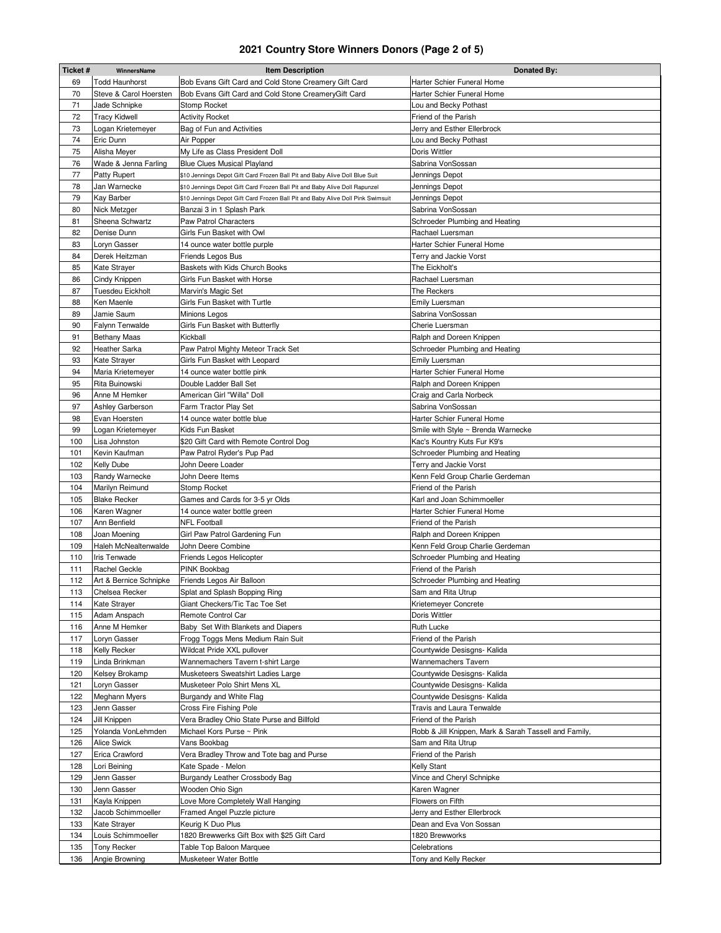## **2021 Country Store Winners Donors (Page 2 of 5)**

| Ticket#    | WinnersName                              | <b>Item Description</b>                                                         | Donated By:                                              |
|------------|------------------------------------------|---------------------------------------------------------------------------------|----------------------------------------------------------|
| 69         | <b>Todd Haunhorst</b>                    | Bob Evans Gift Card and Cold Stone Creamery Gift Card                           | Harter Schier Funeral Home                               |
| 70         | Steve & Carol Hoersten                   | Bob Evans Gift Card and Cold Stone CreameryGift Card                            | Harter Schier Funeral Home                               |
| 71         | Jade Schnipke                            | Stomp Rocket                                                                    | Lou and Becky Pothast                                    |
| 72         | <b>Tracy Kidwell</b>                     | <b>Activity Rocket</b>                                                          | Friend of the Parish                                     |
| 73         | Logan Krietemeyer                        | Bag of Fun and Activities                                                       | Jerry and Esther Ellerbrock                              |
| 74         | Eric Dunn                                | Air Popper                                                                      | Lou and Becky Pothast                                    |
| 75         | Alisha Meyer                             | My Life as Class President Doll                                                 | Doris Wittler                                            |
| 76         | Wade & Jenna Farling                     | <b>Blue Clues Musical Playland</b>                                              | Sabrina VonSossan                                        |
| 77         | Patty Rupert                             | \$10 Jennings Depot Gift Card Frozen Ball Pit and Baby Alive Doll Blue Suit     | Jennings Depot                                           |
| 78         | Jan Warnecke                             | \$10 Jennings Depot Gift Card Frozen Ball Pit and Baby Alive Doll Rapunzel      | Jennings Depot                                           |
| 79         | Kay Barber                               | \$10 Jennings Depot Gift Card Frozen Ball Pit and Baby Alive Doll Pink Swimsuit | Jennings Depot                                           |
| 80         | Nick Metzger                             | Banzai 3 in 1 Splash Park                                                       | Sabrina VonSossan                                        |
| 81         | Sheena Schwartz                          | Paw Patrol Characters                                                           | Schroeder Plumbing and Heating                           |
| 82         | Denise Dunn                              | Girls Fun Basket with Owl                                                       | Rachael Luersman                                         |
| 83         | Loryn Gasser                             | 14 ounce water bottle purple                                                    | Harter Schier Funeral Home                               |
| 84         | Derek Heitzman                           | Friends Legos Bus                                                               | Terry and Jackie Vorst                                   |
| 85         | Kate Strayer                             | Baskets with Kids Church Books                                                  | The Eickholt's                                           |
| 86         | Cindy Knippen                            | Girls Fun Basket with Horse                                                     | Rachael Luersman                                         |
| 87         | <b>Tuesdeu Eickholt</b>                  | Marvin's Magic Set                                                              | The Reckers                                              |
| 88         | Ken Maenle                               | Girls Fun Basket with Turtle                                                    | <b>Emily Luersman</b>                                    |
| 89         | Jamie Saum                               | Minions Legos                                                                   | Sabrina VonSossan                                        |
| 90         | Falynn Tenwalde                          | Girls Fun Basket with Butterfly                                                 | Cherie Luersman                                          |
| 91         |                                          | Kickball                                                                        |                                                          |
|            | <b>Bethany Maas</b>                      |                                                                                 | Ralph and Doreen Knippen                                 |
| 92<br>93   | Heather Sarka                            | Paw Patrol Mighty Meteor Track Set                                              | Schroeder Plumbing and Heating                           |
|            | Kate Strayer                             | Girls Fun Basket with Leopard                                                   | Emily Luersman                                           |
| 94         | Maria Krietemeyer                        | 14 ounce water bottle pink                                                      | Harter Schier Funeral Home                               |
| 95         | Rita Buinowski                           | Double Ladder Ball Set                                                          | Ralph and Doreen Knippen                                 |
| 96         | Anne M Hemker                            | American Girl "Willa" Doll                                                      | Craig and Carla Norbeck                                  |
| 97         | Ashley Garberson                         | Farm Tractor Play Set                                                           | Sabrina VonSossan                                        |
| 98         | Evan Hoersten                            | 14 ounce water bottle blue                                                      | Harter Schier Funeral Home                               |
| 99         | Logan Krietemeyer                        | Kids Fun Basket                                                                 | Smile with Style ~ Brenda Warnecke                       |
| 100        | Lisa Johnston                            | \$20 Gift Card with Remote Control Dog                                          | Kac's Kountry Kuts Fur K9's                              |
| 101        | Kevin Kaufman                            | Paw Patrol Ryder's Pup Pad                                                      | Schroeder Plumbing and Heating                           |
| 102        | Kelly Dube                               | John Deere Loader                                                               | Terry and Jackie Vorst                                   |
| 103        | Randy Warnecke                           | John Deere Items                                                                | Kenn Feld Group Charlie Gerdeman                         |
| 104        | Marilyn Reimund                          | Stomp Rocket                                                                    | Friend of the Parish                                     |
| 105        | <b>Blake Recker</b>                      | Games and Cards for 3-5 yr Olds                                                 | Karl and Joan Schimmoeller                               |
| 106        | Karen Wagner                             | 14 ounce water bottle green                                                     | Harter Schier Funeral Home<br>Friend of the Parish       |
| 107        | Ann Benfield                             | <b>NFL Football</b>                                                             |                                                          |
| 108        | Joan Moening<br>Haleh McNealtenwalde     | Girl Paw Patrol Gardening Fun                                                   | Ralph and Doreen Knippen                                 |
| 109<br>110 | <b>Iris Tenwade</b>                      | John Deere Combine<br>Friends Legos Helicopter                                  | Kenn Feld Group Charlie Gerdeman                         |
|            | Rachel Geckle                            |                                                                                 | Schroeder Plumbing and Heating                           |
| 111        |                                          | PINK Bookbag                                                                    | Friend of the Parish                                     |
| 112<br>113 | Art & Bernice Schnipke                   | Friends Legos Air Balloon<br>Splat and Splash Bopping Ring                      | Schroeder Plumbing and Heating                           |
|            | Chelsea Recker                           |                                                                                 | Sam and Rita Utrup                                       |
| 114        | Kate Strayer                             | Giant Checkers/Tic Tac Toe Set                                                  | Krietemeyer Concrete                                     |
| 115        | Adam Anspach                             | Remote Control Car                                                              | Doris Wittler                                            |
| 116        | Anne M Hemker                            | Baby Set With Blankets and Diapers<br>Frogg Toggs Mens Medium Rain Suit         | Ruth Lucke                                               |
| 117        | Loryn Gasser                             |                                                                                 | Friend of the Parish                                     |
| 118        | Kelly Recker<br>Linda Brinkman           | Wildcat Pride XXL pullover                                                      | Countywide Desisgns- Kalida                              |
| 119        |                                          | Wannemachers Tavern t-shirt Large                                               | Wannemachers Tavern                                      |
| 120        | Kelsey Brokamp                           | Musketeers Sweatshirt Ladies Large                                              | Countywide Desisgns- Kalida                              |
| 121        | Loryn Gasser                             | Musketeer Polo Shirt Mens XL                                                    | Countywide Desisgns- Kalida                              |
| 122        | Meghann Myers                            | Burgandy and White Flag                                                         | Countywide Desisgns- Kalida<br>Travis and Laura Tenwalde |
| 123        | Jenn Gasser                              | Cross Fire Fishing Pole                                                         |                                                          |
| 124        | Jill Knippen                             | Vera Bradley Ohio State Purse and Billfold                                      | Friend of the Parish                                     |
| 125        | Yolanda VonLehmden<br><b>Alice Swick</b> | Michael Kors Purse ~ Pink                                                       | Robb & Jill Knippen, Mark & Sarah Tassell and Family,    |
| 126        |                                          | Vans Bookbag                                                                    | Sam and Rita Utrup                                       |
| 127        | Erica Crawford                           | Vera Bradley Throw and Tote bag and Purse                                       | Friend of the Parish                                     |
| 128        | Lori Beining                             | Kate Spade - Melon                                                              | <b>Kelly Stant</b>                                       |
| 129        | Jenn Gasser                              | Burgandy Leather Crossbody Bag                                                  | Vince and Cheryl Schnipke                                |
| 130        | Jenn Gasser                              | Wooden Ohio Sign                                                                | Karen Wagner                                             |
| 131        | Kayla Knippen                            | Love More Completely Wall Hanging                                               | Flowers on Fifth                                         |
| 132        | Jacob Schimmoeller                       | Framed Angel Puzzle picture                                                     | Jerry and Esther Ellerbrock                              |
| 133        | <b>Kate Strayer</b>                      | Keurig K Duo Plus                                                               | Dean and Eva Von Sossan                                  |
| 134        | Louis Schimmoeller                       | 1820 Brewwerks Gift Box with \$25 Gift Card                                     | 1820 Brewworks                                           |
| 135        | Tony Recker                              | Table Top Baloon Marquee                                                        | Celebrations                                             |
| 136        | Angie Browning                           | Musketeer Water Bottle                                                          | Tony and Kelly Recker                                    |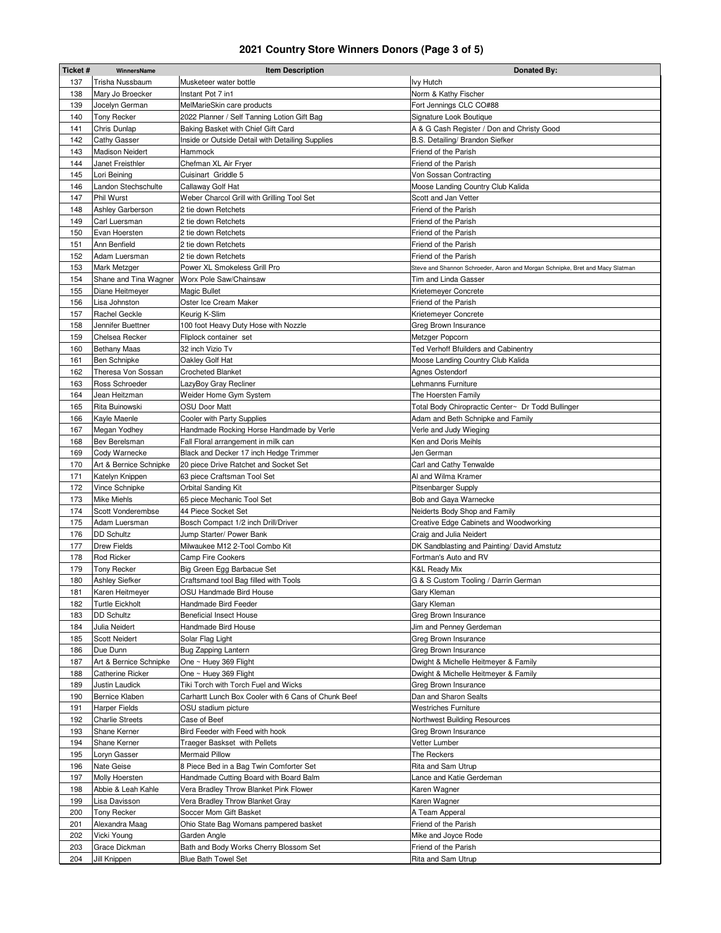## **2021 Country Store Winners Donors (Page 3 of 5)**

| Ticket# | WinnersName             | <b>Item Description</b>                             | Donated By:                                                                   |
|---------|-------------------------|-----------------------------------------------------|-------------------------------------------------------------------------------|
| 137     | Trisha Nussbaum         | Musketeer water bottle                              | <b>Ivy Hutch</b>                                                              |
| 138     | Mary Jo Broecker        | Instant Pot 7 in1                                   | Norm & Kathy Fischer                                                          |
| 139     | Jocelyn German          | MelMarieSkin care products                          | Fort Jennings CLC CO#88                                                       |
| 140     | Tony Recker             | 2022 Planner / Self Tanning Lotion Gift Bag         | Signature Look Boutique                                                       |
| 141     | Chris Dunlap            | Baking Basket with Chief Gift Card                  | A & G Cash Register / Don and Christy Good                                    |
| 142     | <b>Cathy Gasser</b>     | Inside or Outside Detail with Detailing Supplies    | B.S. Detailing/ Brandon Siefker                                               |
| 143     | <b>Madison Neidert</b>  | Hammock                                             | Friend of the Parish                                                          |
| 144     | Janet Freisthler        | Chefman XL Air Fryer                                | Friend of the Parish                                                          |
| 145     | Lori Beining            | Cuisinart Griddle 5                                 | Von Sossan Contracting                                                        |
| 146     | Landon Stechschulte     |                                                     |                                                                               |
|         |                         | Callaway Golf Hat                                   | Moose Landing Country Club Kalida                                             |
| 147     | Phil Wurst              | Weber Charcol Grill with Grilling Tool Set          | Scott and Jan Vetter                                                          |
| 148     | Ashley Garberson        | 2 tie down Retchets                                 | Friend of the Parish                                                          |
| 149     | Carl Luersman           | 2 tie down Retchets                                 | Friend of the Parish                                                          |
| 150     | Evan Hoersten           | 2 tie down Retchets                                 | Friend of the Parish                                                          |
| 151     | Ann Benfield            | 2 tie down Retchets                                 | Friend of the Parish                                                          |
| 152     | Adam Luersman           | 2 tie down Retchets                                 | Friend of the Parish                                                          |
| 153     | Mark Metzger            | Power XL Smokeless Grill Pro                        | Steve and Shannon Schroeder, Aaron and Morgan Schnipke, Bret and Macy Slatman |
| 154     | Shane and Tina Wagner   | Worx Pole Saw/Chainsaw                              | Tim and Linda Gasser                                                          |
| 155     | Diane Heitmeyer         | Magic Bullet                                        | Krietemeyer Concrete                                                          |
| 156     | Lisa Johnston           | Oster Ice Cream Maker                               | Friend of the Parish                                                          |
| 157     | Rachel Geckle           | Keurig K-Slim                                       | Krietemeyer Concrete                                                          |
| 158     | Jennifer Buettner       | 100 foot Heavy Duty Hose with Nozzle                | Greg Brown Insurance                                                          |
| 159     | Chelsea Recker          | Fliplock container set                              | Metzger Popcorn                                                               |
| 160     | <b>Bethany Maas</b>     | 32 inch Vizio Tv                                    | Ted Verhoff Bfuilders and Cabinentry                                          |
| 161     | Ben Schnipke            | Oakley Golf Hat                                     | Moose Landing Country Club Kalida                                             |
| 162     | Theresa Von Sossan      | <b>Crocheted Blanket</b>                            | Agnes Ostendorf                                                               |
| 163     | Ross Schroeder          | LazyBoy Gray Recliner                               | Lehmanns Furniture                                                            |
| 164     | Jean Heitzman           | Weider Home Gym System                              | The Hoersten Family                                                           |
| 165     | Rita Buinowski          | <b>OSU Door Matt</b>                                | Total Body Chiropractic Center~ Dr Todd Bullinger                             |
|         |                         |                                                     |                                                                               |
| 166     | Kayle Maenle            | Cooler with Party Supplies                          | Adam and Beth Schnipke and Family                                             |
| 167     | Megan Yodhey            | Handmade Rocking Horse Handmade by Verle            | Verle and Judy Wieging                                                        |
| 168     | <b>Bev Berelsman</b>    | Fall Floral arrangement in milk can                 | Ken and Doris Meihls                                                          |
| 169     | Cody Warnecke           | Black and Decker 17 inch Hedge Trimmer              | Jen German                                                                    |
| 170     | Art & Bernice Schnipke  | 20 piece Drive Ratchet and Socket Set               | Carl and Cathy Tenwalde                                                       |
| 171     | Katelyn Knippen         | 63 piece Craftsman Tool Set                         | Al and Wilma Kramer                                                           |
| 172     | Vince Schnipke          | Orbital Sanding Kit                                 | <b>Pitsenbarger Supply</b>                                                    |
| 173     | Mike Miehls             | 65 piece Mechanic Tool Set                          | Bob and Gaya Warnecke                                                         |
| 174     | Scott Vonderembse       | 44 Piece Socket Set                                 | Neiderts Body Shop and Family                                                 |
| 175     | Adam Luersman           | Bosch Compact 1/2 inch Drill/Driver                 | Creative Edge Cabinets and Woodworking                                        |
| 176     | <b>DD Schultz</b>       | Jump Starter/ Power Bank                            | Craig and Julia Neidert                                                       |
| 177     | <b>Drew Fields</b>      | Milwaukee M12 2-Tool Combo Kit                      | DK Sandblasting and Painting/ David Amstutz                                   |
| 178     | <b>Rod Ricker</b>       | <b>Camp Fire Cookers</b>                            | Fortman's Auto and RV                                                         |
| 179     | <b>Tony Recker</b>      | Big Green Egg Barbacue Set                          | K&L Ready Mix                                                                 |
| 180     | Ashley Siefker          | Craftsmand tool Bag filled with Tools               | G & S Custom Tooling / Darrin German                                          |
| 181     | Karen Heitmeyer         | OSU Handmade Bird House                             | Gary Kleman                                                                   |
| 182     | <b>Turtle Eickholt</b>  | Handmade Bird Feeder                                | Gary Kleman                                                                   |
| 183     | DD Schultz              | <b>Beneficial Insect House</b>                      | Greg Brown Insurance                                                          |
|         |                         |                                                     |                                                                               |
| 184     | Julia Neidert           | Handmade Bird House                                 | Jim and Penney Gerdeman                                                       |
| 185     | Scott Neidert           | Solar Flag Light                                    | Greg Brown Insurance                                                          |
| 186     | Due Dunn                | Bug Zapping Lantern                                 | Greg Brown Insurance                                                          |
| 187     | Art & Bernice Schnipke  | One ~ Huey 369 Flight                               | Dwight & Michelle Heitmeyer & Family                                          |
| 188     | <b>Catherine Ricker</b> | One ~ Huey 369 Flight                               | Dwight & Michelle Heitmeyer & Family                                          |
| 189     | Justin Laudick          | Tiki Torch with Torch Fuel and Wicks                | Greg Brown Insurance                                                          |
| 190     | Bernice Klaben          | Carhartt Lunch Box Cooler with 6 Cans of Chunk Beef | Dan and Sharon Sealts                                                         |
| 191     | <b>Harper Fields</b>    | OSU stadium picture                                 | Westriches Furniture                                                          |
| 192     | <b>Charlie Streets</b>  | Case of Beef                                        | Northwest Building Resources                                                  |
| 193     | Shane Kerner            | Bird Feeder with Feed with hook                     | Greg Brown Insurance                                                          |
| 194     | Shane Kerner            | Traeger Baskset with Pellets                        | Vetter Lumber                                                                 |
| 195     | Loryn Gasser            | Mermaid Pillow                                      | The Reckers                                                                   |
| 196     | Nate Geise              | 8 Piece Bed in a Bag Twin Comforter Set             | Rita and Sam Utrup                                                            |
| 197     | Molly Hoersten          | Handmade Cutting Board with Board Balm              | Lance and Katie Gerdeman                                                      |
| 198     | Abbie & Leah Kahle      | Vera Bradley Throw Blanket Pink Flower              | Karen Wagner                                                                  |
| 199     | Lisa Davisson           | Vera Bradley Throw Blanket Gray                     | Karen Wagner                                                                  |
| 200     | Tony Recker             | Soccer Mom Gift Basket                              | A Team Apperal                                                                |
|         |                         |                                                     |                                                                               |
| 201     | Alexandra Maag          | Ohio State Bag Womans pampered basket               | Friend of the Parish                                                          |
| 202     | Vicki Young             | Garden Angle                                        | Mike and Joyce Rode                                                           |
| 203     | Grace Dickman           | Bath and Body Works Cherry Blossom Set              | Friend of the Parish                                                          |
| 204     | Jill Knippen            | Blue Bath Towel Set                                 | Rita and Sam Utrup                                                            |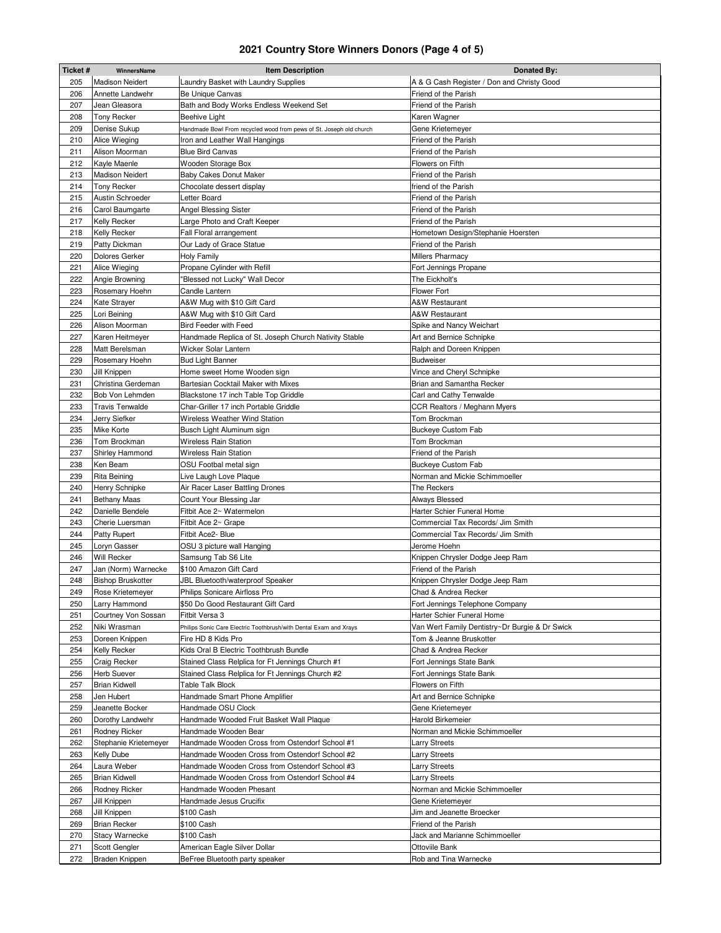# **2021 Country Store Winners Donors (Page 4 of 5)**

| Ticket #   | WinnersName                          | <b>Item Description</b>                                                       | Donated By:                                             |
|------------|--------------------------------------|-------------------------------------------------------------------------------|---------------------------------------------------------|
| 205        | <b>Madison Neidert</b>               | Laundry Basket with Laundry Supplies                                          | A & G Cash Register / Don and Christy Good              |
| 206        | Annette Landwehr                     | Be Unique Canvas                                                              | Friend of the Parish                                    |
| 207        | Jean Gleasora                        | Bath and Body Works Endless Weekend Set                                       | Friend of the Parish                                    |
| 208        | Tony Recker                          | Beehive Light                                                                 | Karen Wagner                                            |
| 209        | Denise Sukup                         | Handmade Bowl From recycled wood from pews of St. Joseph old church           | Gene Krietemeyer                                        |
| 210        | Alice Wieging                        | Iron and Leather Wall Hangings                                                | Friend of the Parish                                    |
| 211        | Alison Moorman                       | <b>Blue Bird Canvas</b>                                                       | Friend of the Parish                                    |
| 212        | Kayle Maenle                         | Wooden Storage Box                                                            | Flowers on Fifth                                        |
| 213        | <b>Madison Neidert</b>               | <b>Baby Cakes Donut Maker</b>                                                 | Friend of the Parish                                    |
| 214        | <b>Tony Recker</b>                   | Chocolate dessert display                                                     | friend of the Parish                                    |
| 215        | Austin Schroeder                     | Letter Board                                                                  | Friend of the Parish                                    |
| 216        | Carol Baumgarte                      | Angel Blessing Sister                                                         | Friend of the Parish                                    |
| 217        | Kelly Recker                         | Large Photo and Craft Keeper                                                  | Friend of the Parish                                    |
| 218        | Kelly Recker                         | Fall Floral arrangement                                                       | Hometown Design/Stephanie Hoersten                      |
| 219        | Patty Dickman                        | Our Lady of Grace Statue                                                      | Friend of the Parish                                    |
| 220        | Dolores Gerker                       | <b>Holy Family</b>                                                            | Millers Pharmacy                                        |
| 221        | Alice Wieging                        | Propane Cylinder with Refill                                                  | Fort Jennings Propane                                   |
| 222        | Angie Browning                       | 'Blessed not Lucky" Wall Decor                                                | The Eickholt's                                          |
| 223        | Rosemary Hoehn                       | Candle Lantern                                                                | <b>Flower Fort</b>                                      |
| 224        | Kate Strayer                         | A&W Mug with \$10 Gift Card                                                   | <b>A&amp;W Restaurant</b>                               |
| 225<br>226 | Lori Beining                         | A&W Mug with \$10 Gift Card                                                   | A&W Restaurant                                          |
| 227        | Alison Moorman                       | Bird Feeder with Feed                                                         | Spike and Nancy Weichart                                |
| 228        | Karen Heitmeyer<br>Matt Berelsman    | Handmade Replica of St. Joseph Church Nativity Stable<br>Wicker Solar Lantern | Art and Bernice Schnipke<br>Ralph and Doreen Knippen    |
| 229        | Rosemary Hoehn                       | <b>Bud Light Banner</b>                                                       | <b>Budweiser</b>                                        |
| 230        | Jill Knippen                         | Home sweet Home Wooden sign                                                   | Vince and Cheryl Schnipke                               |
| 231        | Christina Gerdeman                   | Bartesian Cocktail Maker with Mixes                                           | Brian and Samantha Recker                               |
| 232        | Bob Von Lehmden                      | Blackstone 17 inch Table Top Griddle                                          | Carl and Cathy Tenwalde                                 |
| 233        | <b>Travis Tenwalde</b>               | Char-Griller 17 inch Portable Griddle                                         | CCR Realtors / Meghann Myers                            |
| 234        | Jerry Siefker                        | Wireless Weather Wind Station                                                 | Tom Brockman                                            |
| 235        | Mike Korte                           | Busch Light Aluminum sign                                                     | <b>Buckeye Custom Fab</b>                               |
| 236        | Tom Brockman                         | Wireless Rain Station                                                         | Tom Brockman                                            |
| 237        | Shirley Hammond                      | Wireless Rain Station                                                         | Friend of the Parish                                    |
| 238        | Ken Beam                             | OSU Footbal metal sign                                                        | <b>Buckeye Custom Fab</b>                               |
| 239        | <b>Rita Beining</b>                  | Live Laugh Love Plaque                                                        | Norman and Mickie Schimmoeller                          |
| 240        | Henry Schnipke                       | Air Racer Laser Battling Drones                                               | The Reckers                                             |
| 241        | <b>Bethany Maas</b>                  | Count Your Blessing Jar                                                       | Always Blessed                                          |
| 242        | Danielle Bendele                     | Fitbit Ace 2~ Watermelon                                                      | Harter Schier Funeral Home                              |
| 243        | Cherie Luersman                      | Fitbit Ace 2~ Grape                                                           | Commercial Tax Records/ Jim Smith                       |
| 244        | Patty Rupert                         | Fitbit Ace2- Blue                                                             | Commercial Tax Records/ Jim Smith                       |
| 245        | Loryn Gasser                         | OSU 3 picture wall Hanging                                                    | Jerome Hoehn                                            |
| 246        | Will Recker                          | Samsung Tab S6 Lite                                                           | Knippen Chrysler Dodge Jeep Ram                         |
| 247        | Jan (Norm) Warnecke                  | \$100 Amazon Gift Card                                                        | Friend of the Parish                                    |
| 248        | <b>Bishop Bruskotter</b>             | JBL Bluetooth/waterproof Speaker                                              | Knippen Chrysler Dodge Jeep Ram                         |
| 249<br>250 | Rose Krietemeyer                     | Philips Sonicare Airfloss Pro<br>\$50 Do Good Restaurant Gift Card            | Chad & Andrea Recker<br>Fort Jennings Telephone Company |
| 251        | Larry Hammond<br>Courtney Von Sossan | Fitbit Versa 3                                                                | Harter Schier Funeral Home                              |
| 252        | Niki Wrasman                         | Philips Sonic Care Electric Toothbrush/with Dental Exam and Xrays             | Van Wert Family Dentistry~Dr Burgie & Dr Swick          |
| 253        | Doreen Knippen                       | Fire HD 8 Kids Pro                                                            | Tom & Jeanne Bruskotter                                 |
| 254        | Kelly Recker                         | Kids Oral B Electric Toothbrush Bundle                                        | Chad & Andrea Recker                                    |
| 255        | Craig Recker                         | Stained Class Relplica for Ft Jennings Church #1                              | Fort Jennings State Bank                                |
| 256        | Herb Suever                          | Stained Class Relplica for Ft Jennings Church #2                              | Fort Jennings State Bank                                |
| 257        | <b>Brian Kidwell</b>                 | Table Talk Block                                                              | Flowers on Fifth                                        |
| 258        | Jen Hubert                           | Handmade Smart Phone Amplifier                                                | Art and Bernice Schnipke                                |
| 259        | Jeanette Bocker                      | Handmade OSU Clock                                                            | Gene Krietemeyer                                        |
| 260        | Dorothy Landwehr                     | Handmade Wooded Fruit Basket Wall Plaque                                      | Harold Birkemeier                                       |
| 261        | Rodney Ricker                        | Handmade Wooden Bear                                                          | Norman and Mickie Schimmoeller                          |
| 262        | Stephanie Krietemeyer                | Handmade Wooden Cross from Ostendorf School #1                                | <b>Larry Streets</b>                                    |
| 263        | Kelly Dube                           | Handmade Wooden Cross from Ostendorf School #2                                | <b>Larry Streets</b>                                    |
| 264        | Laura Weber                          | Handmade Wooden Cross from Ostendorf School #3                                | Larry Streets                                           |
| 265        | <b>Brian Kidwell</b>                 | Handmade Wooden Cross from Ostendorf School #4                                | Larry Streets                                           |
| 266        | Rodney Ricker                        | Handmade Wooden Phesant                                                       | Norman and Mickie Schimmoeller                          |
| 267        | Jill Knippen                         | Handmade Jesus Crucifix                                                       | Gene Krietemeyer                                        |
| 268        | Jill Knippen                         | \$100 Cash                                                                    | Jim and Jeanette Broecker                               |
| 269        | <b>Brian Recker</b>                  | \$100 Cash                                                                    | Friend of the Parish                                    |
| 270        | <b>Stacy Warnecke</b>                | \$100 Cash                                                                    | Jack and Marianne Schimmoeller                          |
| 271        | Scott Gengler                        | American Eagle Silver Dollar                                                  | Ottoviile Bank                                          |
| 272        | Braden Knippen                       | BeFree Bluetooth party speaker                                                | Rob and Tina Warnecke                                   |